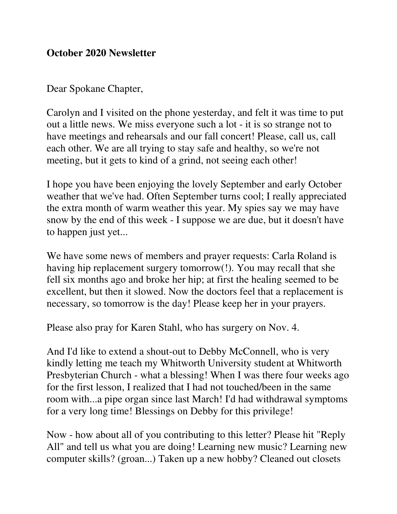## **October 2020 Newsletter**

Dear Spokane Chapter,

Carolyn and I visited on the phone yesterday, and felt it was time to put out a little news. We miss everyone such a lot - it is so strange not to have meetings and rehearsals and our fall concert! Please, call us, call each other. We are all trying to stay safe and healthy, so we're not meeting, but it gets to kind of a grind, not seeing each other!

I hope you have been enjoying the lovely September and early October weather that we've had. Often September turns cool; I really appreciated the extra month of warm weather this year. My spies say we may have snow by the end of this week - I suppose we are due, but it doesn't have to happen just yet...

We have some news of members and prayer requests: Carla Roland is having hip replacement surgery tomorrow(!). You may recall that she fell six months ago and broke her hip; at first the healing seemed to be excellent, but then it slowed. Now the doctors feel that a replacement is necessary, so tomorrow is the day! Please keep her in your prayers.

Please also pray for Karen Stahl, who has surgery on Nov. 4.

And I'd like to extend a shout-out to Debby McConnell, who is very kindly letting me teach my Whitworth University student at Whitworth Presbyterian Church - what a blessing! When I was there four weeks ago for the first lesson, I realized that I had not touched/been in the same room with...a pipe organ since last March! I'd had withdrawal symptoms for a very long time! Blessings on Debby for this privilege!

Now - how about all of you contributing to this letter? Please hit "Reply All" and tell us what you are doing! Learning new music? Learning new computer skills? (groan...) Taken up a new hobby? Cleaned out closets